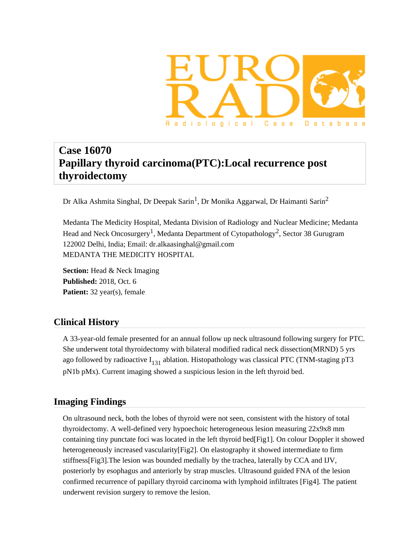

# **Case 16070 Papillary thyroid carcinoma(PTC):Local recurrence post thyroidectomy**

Dr Alka Ashmita Singhal, Dr Deepak Sarin<sup>1</sup>, Dr Monika Aggarwal, Dr Haimanti Sarin<sup>2</sup>

Medanta The Medicity Hospital, Medanta Division of Radiology and Nuclear Medicine; Medanta Head and Neck Oncosurgery<sup>1</sup>, Medanta Department of Cytopathology<sup>2</sup>, Sector 38 Gurugram 122002 Delhi, India; Email: dr.alkaasinghal@gmail.com MEDANTA THE MEDICITY HOSPITAL

**Section:** Head & Neck Imaging **Published:** 2018, Oct. 6 **Patient:** 32 year(s), female

# **Clinical History**

A 33-year-old female presented for an annual follow up neck ultrasound following surgery for PTC. She underwent total thyroidectomy with bilateral modified radical neck dissection(MRND) 5 yrs ago followed by radioactive  $I_{131}$  ablation. Histopathology was classical PTC (TNM-staging pT3 pN1b pMx). Current imaging showed a suspicious lesion in the left thyroid bed.

# **Imaging Findings**

On ultrasound neck, both the lobes of thyroid were not seen, consistent with the history of total thyroidectomy. A well-defined very hypoechoic heterogeneous lesion measuring 22x9x8 mm containing tiny punctate foci was located in the left thyroid bed[Fig1]. On colour Doppler it showed heterogeneously increased vascularity[Fig2]. On elastography it showed intermediate to firm stiffness[Fig3].The lesion was bounded medially by the trachea, laterally by CCA and IJV, posteriorly by esophagus and anteriorly by strap muscles. Ultrasound guided FNA of the lesion confirmed recurrence of papillary thyroid carcinoma with lymphoid infiltrates [Fig4]. The patient underwent revision surgery to remove the lesion.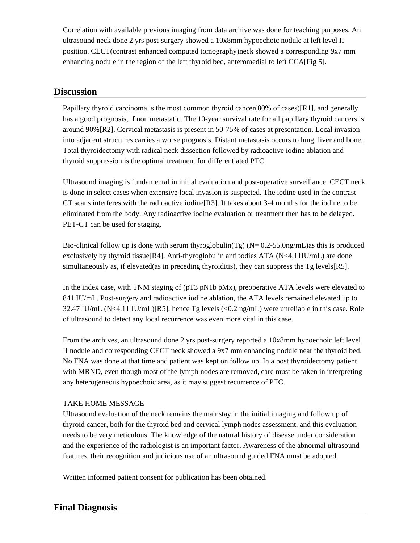Correlation with available previous imaging from data archive was done for teaching purposes. An ultrasound neck done 2 yrs post-surgery showed a 10x8mm hypoechoic nodule at left level II position. CECT(contrast enhanced computed tomography)neck showed a corresponding 9x7 mm enhancing nodule in the region of the left thyroid bed, anteromedial to left CCA[Fig 5].

# **Discussion**

Papillary thyroid carcinoma is the most common thyroid cancer(80% of cases)[R1], and generally has a good prognosis, if non metastatic. The 10-year survival rate for all papillary thyroid cancers is around 90%[R2]. Cervical metastasis is present in 50-75% of cases at presentation. Local invasion into adjacent structures carries a worse prognosis. Distant metastasis occurs to lung, liver and bone. Total thyroidectomy with radical neck dissection followed by radioactive iodine ablation and thyroid suppression is the optimal treatment for differentiated PTC.

Ultrasound imaging is fundamental in initial evaluation and post-operative surveillance. CECT neck is done in select cases when extensive local invasion is suspected. The iodine used in the contrast CT scans interferes with the radioactive iodine[R3]. It takes about 3-4 months for the iodine to be eliminated from the body. Any radioactive iodine evaluation or treatment then has to be delayed. PET-CT can be used for staging.

Bio-clinical follow up is done with serum thyroglobulin(Tg) ( $N = 0.2$ -55.0ng/mL)as this is produced exclusively by thyroid tissue[R4]. Anti-thyroglobulin antibodies ATA (N<4.11IU/mL) are done simultaneously as, if elevated(as in preceding thyroiditis), they can suppress the  $Tg$  levels  $[R5]$ .

In the index case, with TNM staging of (pT3 pN1b pMx), preoperative ATA levels were elevated to 841 IU/mL. Post-surgery and radioactive iodine ablation, the ATA levels remained elevated up to 32.47 IU/mL (N<4.11 IU/mL)[R5], hence Tg levels (<0.2 ng/mL) were unreliable in this case. Role of ultrasound to detect any local recurrence was even more vital in this case.

From the archives, an ultrasound done 2 yrs post-surgery reported a 10x8mm hypoechoic left level II nodule and corresponding CECT neck showed a 9x7 mm enhancing nodule near the thyroid bed. No FNA was done at that time and patient was kept on follow up. In a post thyroidectomy patient with MRND, even though most of the lymph nodes are removed, care must be taken in interpreting any heterogeneous hypoechoic area, as it may suggest recurrence of PTC.

### TAKE HOME MESSAGE

Ultrasound evaluation of the neck remains the mainstay in the initial imaging and follow up of thyroid cancer, both for the thyroid bed and cervical lymph nodes assessment, and this evaluation needs to be very meticulous. The knowledge of the natural history of disease under consideration and the experience of the radiologist is an important factor. Awareness of the abnormal ultrasound features, their recognition and judicious use of an ultrasound guided FNA must be adopted.

Written informed patient consent for publication has been obtained.

# **Final Diagnosis**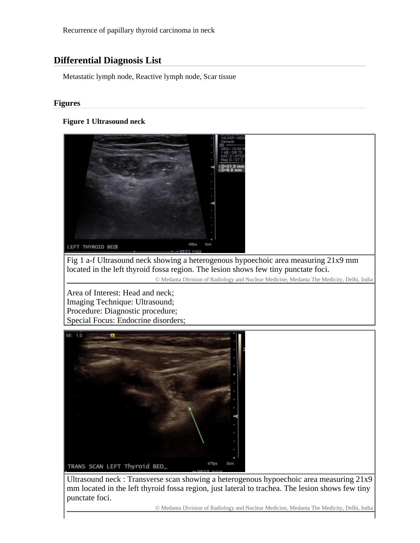Recurrence of papillary thyroid carcinoma in neck

# **Differential Diagnosis List**

Metastatic lymph node, Reactive lymph node, Scar tissue

#### **Figures**

#### **Figure 1 Ultrasound neck**



Fig 1 a-f Ultrasound neck showing a heterogenous hypoechoic area measuring 21x9 mm located in the left thyroid fossa region. The lesion shows few tiny punctate foci.

© Medanta Division of Radiology and Nuclear Medicine, Medanta The Medicity, Delhi, India

Area of Interest: Head and neck; Imaging Technique: Ultrasound; Procedure: Diagnostic procedure; Special Focus: Endocrine disorders;



Ultrasound neck : Transverse scan showing a heterogenous hypoechoic area measuring 21x9 mm located in the left thyroid fossa region, just lateral to trachea. The lesion shows few tiny punctate foci.

© Medanta Division of Radiology and Nuclear Medicine, Medanta The Medicity, Delhi, India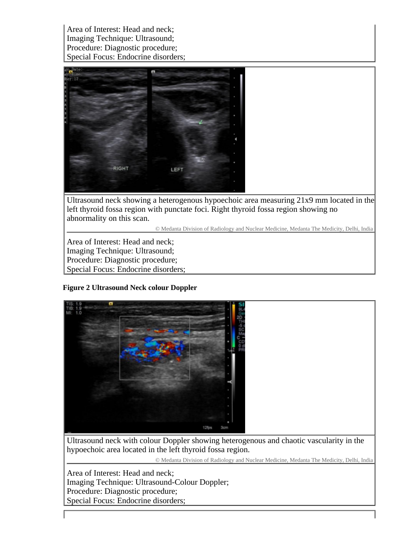Area of Interest: Head and neck; Imaging Technique: Ultrasound; Procedure: Diagnostic procedure; Special Focus: Endocrine disorders;



Ultrasound neck showing a heterogenous hypoechoic area measuring 21x9 mm located in the left thyroid fossa region with punctate foci. Right thyroid fossa region showing no abnormality on this scan.

© Medanta Division of Radiology and Nuclear Medicine, Medanta The Medicity, Delhi, India

Area of Interest: Head and neck; Imaging Technique: Ultrasound; Procedure: Diagnostic procedure; Special Focus: Endocrine disorders;

# **Figure 2 Ultrasound Neck colour Doppler**



Ultrasound neck with colour Doppler showing heterogenous and chaotic vascularity in the hypoechoic area located in the left thyroid fossa region.

© Medanta Division of Radiology and Nuclear Medicine, Medanta The Medicity, Delhi, India

Area of Interest: Head and neck; Imaging Technique: Ultrasound-Colour Doppler; Procedure: Diagnostic procedure; Special Focus: Endocrine disorders;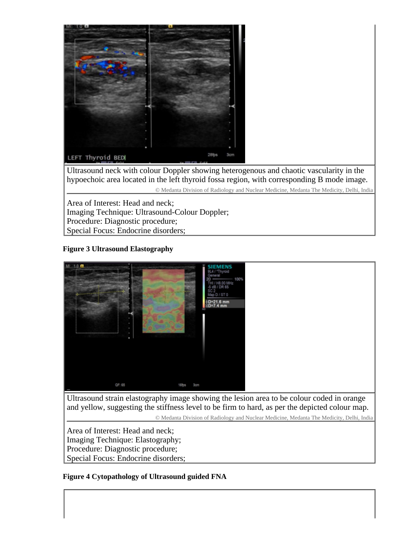

Ultrasound neck with colour Doppler showing heterogenous and chaotic vascularity in the hypoechoic area located in the left thyroid fossa region, with corresponding B mode image. © Medanta Division of Radiology and Nuclear Medicine, Medanta The Medicity, Delhi, India

Area of Interest: Head and neck; Imaging Technique: Ultrasound-Colour Doppler; Procedure: Diagnostic procedure; Special Focus: Endocrine disorders;

# **Figure 3 Ultrasound Elastography**



Area of Interest: Head and neck; Imaging Technique: Elastography; Procedure: Diagnostic procedure; Special Focus: Endocrine disorders;

# **Figure 4 Cytopathology of Ultrasound guided FNA**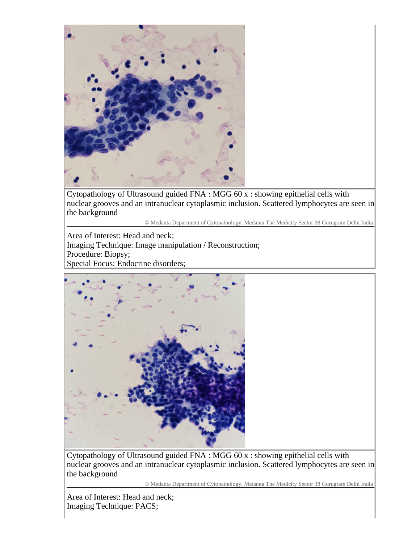

Cytopathology of Ultrasound guided FNA : MGG 60 x : showing epithelial cells with nuclear grooves and an intranuclear cytoplasmic inclusion. Scattered lymphocytes are seen in the background

© Medanta Department of Cytopathology, Medanta The Medicity Sector 38 Gurugram Delhi India

Area of Interest: Head and neck; Imaging Technique: Image manipulation / Reconstruction; Procedure: Biopsy; Special Focus: Endocrine disorders;



Cytopathology of Ultrasound guided FNA : MGG 60 x : showing epithelial cells with nuclear grooves and an intranuclear cytoplasmic inclusion. Scattered lymphocytes are seen in the background

© Medanta Department of Cytopathology, Medanta The Medicity Sector 38 Gurugram Delhi India

Area of Interest: Head and neck; Imaging Technique: PACS;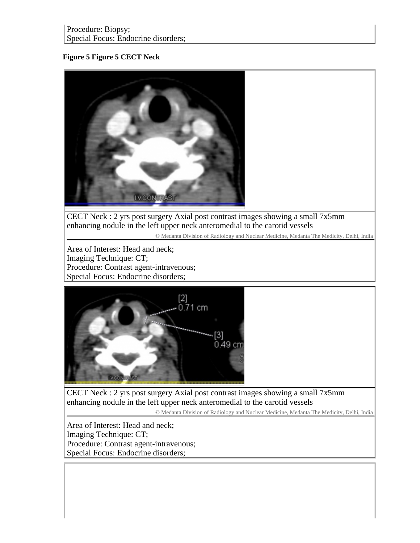### **Figure 5 Figure 5 CECT Neck**



CECT Neck : 2 yrs post surgery Axial post contrast images showing a small 7x5mm enhancing nodule in the left upper neck anteromedial to the carotid vessels

© Medanta Division of Radiology and Nuclear Medicine, Medanta The Medicity, Delhi, India

Area of Interest: Head and neck; Imaging Technique: CT; Procedure: Contrast agent-intravenous; Special Focus: Endocrine disorders;



CECT Neck : 2 yrs post surgery Axial post contrast images showing a small 7x5mm enhancing nodule in the left upper neck anteromedial to the carotid vessels

© Medanta Division of Radiology and Nuclear Medicine, Medanta The Medicity, Delhi, India

Area of Interest: Head and neck; Imaging Technique: CT; Procedure: Contrast agent-intravenous; Special Focus: Endocrine disorders;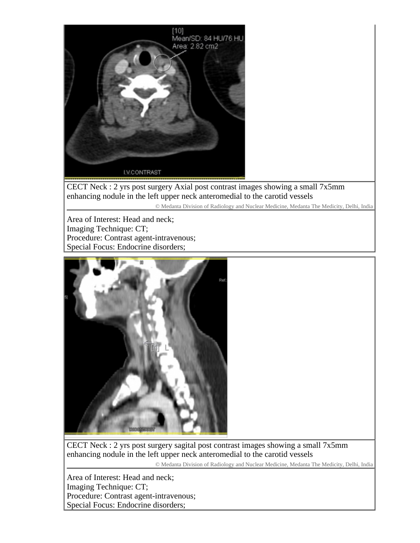

CECT Neck : 2 yrs post surgery Axial post contrast images showing a small 7x5mm enhancing nodule in the left upper neck anteromedial to the carotid vessels

© Medanta Division of Radiology and Nuclear Medicine, Medanta The Medicity, Delhi, India

Area of Interest: Head and neck; Imaging Technique: CT; Procedure: Contrast agent-intravenous; Special Focus: Endocrine disorders;



CECT Neck : 2 yrs post surgery sagital post contrast images showing a small 7x5mm enhancing nodule in the left upper neck anteromedial to the carotid vessels

© Medanta Division of Radiology and Nuclear Medicine, Medanta The Medicity, Delhi, India

Area of Interest: Head and neck; Imaging Technique: CT; Procedure: Contrast agent-intravenous; Special Focus: Endocrine disorders;